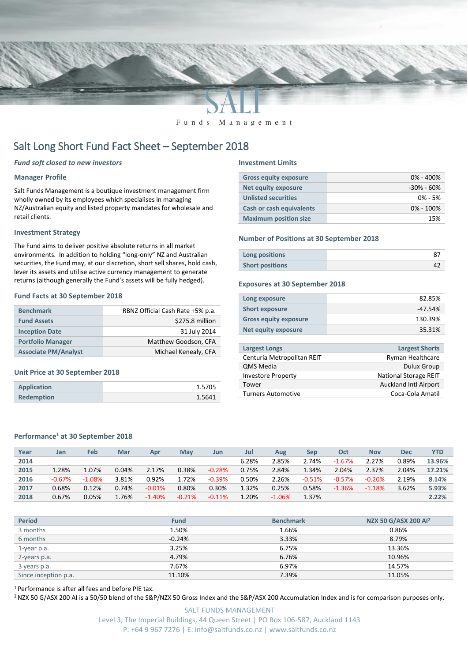

Funds Management

# Salt Long Short Fund Fact Sheet – September 2018

### *Fund soft closed to new investors*

## **Manager Profile**

Salt Funds Management is a boutique investment management firm wholly owned by its employees which specialises in managing NZ/Australian equity and listed property mandates for wholesale and retail clients.

#### **Investment Strategy**

The Fund aims to deliver positive absolute returns in all market environments. In addition to holding "long-only" NZ and Australian securities, the Fund may, at our discretion, short sell shares, hold cash, lever its assets and utilise active currency management to generate returns (although generally the Fund's assets will be fully hedged).

#### **Fund Facts at 30 September 2018**

| <b>Benchmark</b>            | RBNZ Official Cash Rate +5% p.a. |  |  |  |  |
|-----------------------------|----------------------------------|--|--|--|--|
| <b>Fund Assets</b>          | \$275.8 million                  |  |  |  |  |
| <b>Inception Date</b>       | 31 July 2014                     |  |  |  |  |
| <b>Portfolio Manager</b>    | Matthew Goodson, CFA             |  |  |  |  |
| <b>Associate PM/Analyst</b> | Michael Kenealy, CFA             |  |  |  |  |

#### **Unit Price at 30 September 2018**

| <b>Application</b> | 1.5705 |
|--------------------|--------|
| <b>Redemption</b>  | 1.5641 |

#### **Investment Limits**

| <b>Gross equity exposure</b>    | $0\% - 400\%$  |
|---------------------------------|----------------|
| <b>Net equity exposure</b>      | $-30\% - 60\%$ |
| <b>Unlisted securities</b>      | $0\% - 5\%$    |
| <b>Cash or cash equivalents</b> | $0\% - 100\%$  |
| <b>Maximum position size</b>    | 15%            |

### **Number of Positions at 30 September 2018**

| Long positions         |  |
|------------------------|--|
| <b>Short positions</b> |  |

#### **Exposures at 30 September 2018**

| Long exposure                | 82.85%    |
|------------------------------|-----------|
| <b>Short exposure</b>        | $-47.54%$ |
| <b>Gross equity exposure</b> | 130.39%   |
| Net equity exposure          | 35.31%    |
|                              |           |

| <b>Largest Longs</b>       | <b>Largest Shorts</b>        |
|----------------------------|------------------------------|
| Centuria Metropolitan REIT | Ryman Healthcare             |
| <b>QMS Media</b>           | <b>Dulux Group</b>           |
| <b>Investore Property</b>  | <b>National Storage REIT</b> |
| Tower                      | <b>Auckland Intl Airport</b> |
| <b>Turners Automotive</b>  | Coca-Cola Amatil             |

#### **Performance<sup>1</sup> at 30 September 2018**

| Year | Jan      | <b>Feb</b> | Mar   | Apr      | May      | Jun      | Jul   | Aug      | Sep      | Oct      | <b>Nov</b> | <b>Dec</b> | YTD    |
|------|----------|------------|-------|----------|----------|----------|-------|----------|----------|----------|------------|------------|--------|
| 2014 |          |            |       |          |          |          | 6.28% | 2.85%    | 2.74%    | $-1.67%$ | 2.27%      | 0.89%      | 13.96% |
| 2015 | 1.28%    | 1.07%      | 0.04% | 2.17%    | 0.38%    | $-0.28%$ | 0.75% | 2.84%    | 1.34%    | 2.04%    | 2.37%      | 2.04%      | 17.21% |
| 2016 | $-0.67%$ | $-1.08%$   | 3.81% | 0.92%    | 1.72%    | $-0.39%$ | 0.50% | 2.26%    | $-0.51%$ | $-0.57%$ | $-0.20%$   | 2.19%      | 8.14%  |
| 2017 | 0.68%    | 0.12%      | 0.74% | $-0.01%$ | 0.80%    | 0.30%    | 1.32% | 0.25%    | 0.58%    | $-1.36%$ | $-1.18%$   | 3.62%      | 5.93%  |
| 2018 | 0.67%    | 0.05%      | 1.76% | $-1.40%$ | $-0.21%$ | $-0.11%$ | 1.20% | $-1.06%$ | 1.37%    |          |            |            | 2.22%  |

| <b>Period</b>        | <b>Fund</b> | <b>Benchmark</b> | NZX 50 G/ASX 200 Al <sup>2</sup> |
|----------------------|-------------|------------------|----------------------------------|
| 3 months             | 1.50%       | 1.66%            | 0.86%                            |
| 6 months             | $-0.24%$    | 3.33%            | 8.79%                            |
| 1-year p.a.          | 3.25%       | 6.75%            | 13.36%                           |
| 2-years p.a.         | 4.79%       | 6.76%            | 10.96%                           |
| 3 years p.a.         | 7.67%       | 6.97%            | 14.57%                           |
| Since inception p.a. | 11.10%      | 7.39%            | 11.05%                           |

<sup>1</sup> Performance is after all fees and before PIE tax.

<sup>2</sup> NZX 50 G/ASX 200 AI is a 50/50 blend of the S&P/NZX 50 Gross Index and the S&P/ASX 200 Accumulation Index and is for comparison purposes only.

SALT FUNDS MANAGEMENT Level 3, The Imperial Buildings, 44 Queen Street | PO Box 106-587, Auckland 1143 P: +64 9 967 7276 | E: info@saltfunds.co.nz | www.saltfunds.co.nz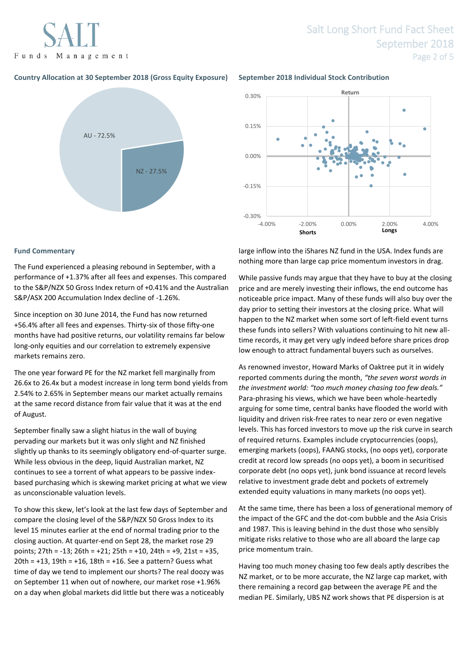Funds Management

# **Country Allocation at 30 September 2018 (Gross Equity Exposure) September 2018 Individual Stock Contribution**





#### **Fund Commentary**

The Fund experienced a pleasing rebound in September, with a performance of +1.37% after all fees and expenses. This compared to the S&P/NZX 50 Gross Index return of +0.41% and the Australian S&P/ASX 200 Accumulation Index decline of -1.26%.

Since inception on 30 June 2014, the Fund has now returned +56.4% after all fees and expenses. Thirty-six of those fifty-one months have had positive returns, our volatility remains far below long-only equities and our correlation to extremely expensive markets remains zero.

The one year forward PE for the NZ market fell marginally from 26.6x to 26.4x but a modest increase in long term bond yields from 2.54% to 2.65% in September means our market actually remains at the same record distance from fair value that it was at the end of August.

September finally saw a slight hiatus in the wall of buying pervading our markets but it was only slight and NZ finished slightly up thanks to its seemingly obligatory end-of-quarter surge. While less obvious in the deep, liquid Australian market, NZ continues to see a torrent of what appears to be passive indexbased purchasing which is skewing market pricing at what we view as unconscionable valuation levels.

To show this skew, let's look at the last few days of September and compare the closing level of the S&P/NZX 50 Gross Index to its level 15 minutes earlier at the end of normal trading prior to the closing auction. At quarter-end on Sept 28, the market rose 29 points; 27th = -13; 26th = +21; 25th = +10, 24th = +9, 21st = +35, 20th = +13, 19th = +16, 18th = +16. See a pattern? Guess what time of day we tend to implement our shorts? The real doozy was on September 11 when out of nowhere, our market rose +1.96% on a day when global markets did little but there was a noticeably

large inflow into the iShares NZ fund in the USA. Index funds are nothing more than large cap price momentum investors in drag.

While passive funds may argue that they have to buy at the closing price and are merely investing their inflows, the end outcome has noticeable price impact. Many of these funds will also buy over the day prior to setting their investors at the closing price. What will happen to the NZ market when some sort of left-field event turns these funds into sellers? With valuations continuing to hit new alltime records, it may get very ugly indeed before share prices drop low enough to attract fundamental buyers such as ourselves.

As renowned investor, Howard Marks of Oaktree put it in widely reported comments during the month, *"the seven worst words in the investment world: "too much money chasing too few deals."* Para-phrasing his views, which we have been whole-heartedly arguing for some time, central banks have flooded the world with liquidity and driven risk-free rates to near zero or even negative levels. This has forced investors to move up the risk curve in search of required returns. Examples include cryptocurrencies (oops), emerging markets (oops), FAANG stocks, (no oops yet), corporate credit at record low spreads (no oops yet), a boom in securitised corporate debt (no oops yet), junk bond issuance at record levels relative to investment grade debt and pockets of extremely extended equity valuations in many markets (no oops yet).

At the same time, there has been a loss of generational memory of the impact of the GFC and the dot-com bubble and the Asia Crisis and 1987. This is leaving behind in the dust those who sensibly mitigate risks relative to those who are all aboard the large cap price momentum train.

Having too much money chasing too few deals aptly describes the NZ market, or to be more accurate, the NZ large cap market, with there remaining a record gap between the average PE and the median PE. Similarly, UBS NZ work shows that PE dispersion is at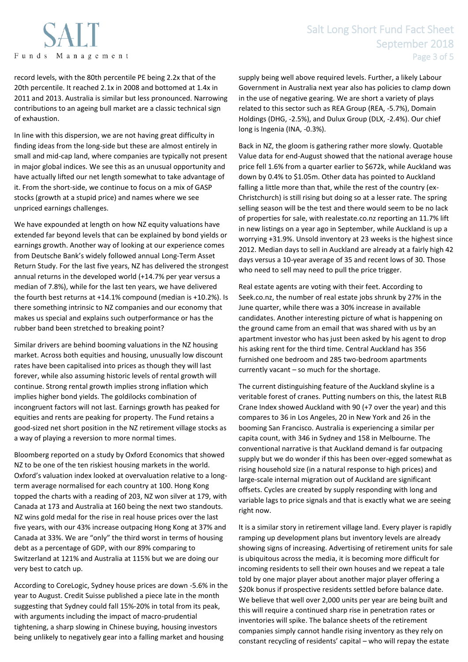

record levels, with the 80th percentile PE being 2.2x that of the 20th percentile. It reached 2.1x in 2008 and bottomed at 1.4x in 2011 and 2013. Australia is similar but less pronounced. Narrowing contributions to an ageing bull market are a classic technical sign of exhaustion.

In line with this dispersion, we are not having great difficulty in finding ideas from the long-side but these are almost entirely in small and mid-cap land, where companies are typically not present in major global indices. We see this as an unusual opportunity and have actually lifted our net length somewhat to take advantage of it. From the short-side, we continue to focus on a mix of GASP stocks (growth at a stupid price) and names where we see unpriced earnings challenges.

We have expounded at length on how NZ equity valuations have extended far beyond levels that can be explained by bond yields or earnings growth. Another way of looking at our experience comes from Deutsche Bank's widely followed annual Long-Term Asset Return Study. For the last five years, NZ has delivered the strongest annual returns in the developed world (+14.7% per year versus a median of 7.8%), while for the last ten years, we have delivered the fourth best returns at +14.1% compound (median is +10.2%). Is there something intrinsic to NZ companies and our economy that makes us special and explains such outperformance or has the rubber band been stretched to breaking point?

Similar drivers are behind booming valuations in the NZ housing market. Across both equities and housing, unusually low discount rates have been capitalised into prices as though they will last forever, while also assuming historic levels of rental growth will continue. Strong rental growth implies strong inflation which implies higher bond yields. The goldilocks combination of incongruent factors will not last. Earnings growth has peaked for equities and rents are peaking for property. The Fund retains a good-sized net short position in the NZ retirement village stocks as a way of playing a reversion to more normal times.

Bloomberg reported on a study by Oxford Economics that showed NZ to be one of the ten riskiest housing markets in the world. Oxford's valuation index looked at overvaluation relative to a longterm average normalised for each country at 100. Hong Kong topped the charts with a reading of 203, NZ won silver at 179, with Canada at 173 and Australia at 160 being the next two standouts. NZ wins gold medal for the rise in real house prices over the last five years, with our 43% increase outpacing Hong Kong at 37% and Canada at 33%. We are "only" the third worst in terms of housing debt as a percentage of GDP, with our 89% comparing to Switzerland at 121% and Australia at 115% but we are doing our very best to catch up.

According to CoreLogic, Sydney house prices are down -5.6% in the year to August. Credit Suisse published a piece late in the month suggesting that Sydney could fall 15%-20% in total from its peak, with arguments including the impact of macro-prudential tightening, a sharp slowing in Chinese buying, housing investors being unlikely to negatively gear into a falling market and housing

supply being well above required levels. Further, a likely Labour Government in Australia next year also has policies to clamp down in the use of negative gearing. We are short a variety of plays related to this sector such as REA Group (REA, -5.7%), Domain Holdings (DHG, -2.5%), and Dulux Group (DLX, -2.4%). Our chief long is Ingenia (INA, -0.3%).

Back in NZ, the gloom is gathering rather more slowly. Quotable Value data for end-August showed that the national average house price fell 1.6% from a quarter earlier to \$672k, while Auckland was down by 0.4% to \$1.05m. Other data has pointed to Auckland falling a little more than that, while the rest of the country (ex-Christchurch) is still rising but doing so at a lesser rate. The spring selling season will be the test and there would seem to be no lack of properties for sale, with realestate.co.nz reporting an 11.7% lift in new listings on a year ago in September, while Auckland is up a worrying +31.9%. Unsold inventory at 23 weeks is the highest since 2012. Median days to sell in Auckland are already at a fairly high 42 days versus a 10-year average of 35 and recent lows of 30. Those who need to sell may need to pull the price trigger.

Real estate agents are voting with their feet. According to Seek.co.nz, the number of real estate jobs shrunk by 27% in the June quarter, while there was a 30% increase in available candidates. Another interesting picture of what is happening on the ground came from an email that was shared with us by an apartment investor who has just been asked by his agent to drop his asking rent for the third time. Central Auckland has 356 furnished one bedroom and 285 two-bedroom apartments currently vacant – so much for the shortage.

The current distinguishing feature of the Auckland skyline is a veritable forest of cranes. Putting numbers on this, the latest RLB Crane Index showed Auckland with 90 (+7 over the year) and this compares to 36 in Los Angeles, 20 in New York and 26 in the booming San Francisco. Australia is experiencing a similar per capita count, with 346 in Sydney and 158 in Melbourne. The conventional narrative is that Auckland demand is far outpacing supply but we do wonder if this has been over-egged somewhat as rising household size (in a natural response to high prices) and large-scale internal migration out of Auckland are significant offsets. Cycles are created by supply responding with long and variable lags to price signals and that is exactly what we are seeing right now.

It is a similar story in retirement village land. Every player is rapidly ramping up development plans but inventory levels are already showing signs of increasing. Advertising of retirement units for sale is ubiquitous across the media, it is becoming more difficult for incoming residents to sell their own houses and we repeat a tale told by one major player about another major player offering a \$20k bonus if prospective residents settled before balance date. We believe that well over 2,000 units per year are being built and this will require a continued sharp rise in penetration rates or inventories will spike. The balance sheets of the retirement companies simply cannot handle rising inventory as they rely on constant recycling of residents' capital – who will repay the estate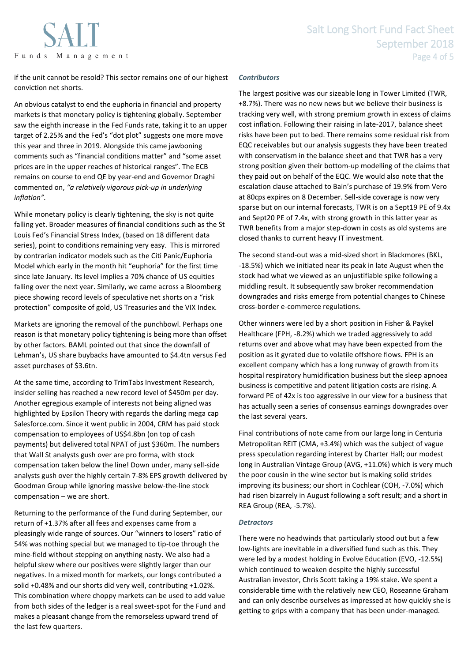

if the unit cannot be resold? This sector remains one of our highest conviction net shorts.

An obvious catalyst to end the euphoria in financial and property markets is that monetary policy is tightening globally. September saw the eighth increase in the Fed Funds rate, taking it to an upper target of 2.25% and the Fed's "dot plot" suggests one more move this year and three in 2019. Alongside this came jawboning comments such as "financial conditions matter" and "some asset prices are in the upper reaches of historical ranges". The ECB remains on course to end QE by year-end and Governor Draghi commented on, *"a relatively vigorous pick-up in underlying inflation".*

While monetary policy is clearly tightening, the sky is not quite falling yet. Broader measures of financial conditions such as the St Louis Fed's Financial Stress Index, (based on 18 different data series), point to conditions remaining very easy. This is mirrored by contrarian indicator models such as the Citi Panic/Euphoria Model which early in the month hit "euphoria" for the first time since late January. Its level implies a 70% chance of US equities falling over the next year. Similarly, we came across a Bloomberg piece showing record levels of speculative net shorts on a "risk protection" composite of gold, US Treasuries and the VIX Index.

Markets are ignoring the removal of the punchbowl. Perhaps one reason is that monetary policy tightening is being more than offset by other factors. BAML pointed out that since the downfall of Lehman's, US share buybacks have amounted to \$4.4tn versus Fed asset purchases of \$3.6tn.

At the same time, according to TrimTabs Investment Research, insider selling has reached a new record level of \$450m per day. Another egregious example of interests not being aligned was highlighted by Epsilon Theory with regards the darling mega cap Salesforce.com. Since it went public in 2004, CRM has paid stock compensation to employees of US\$4.8bn (on top of cash payments) but delivered total NPAT of just \$360m. The numbers that Wall St analysts gush over are pro forma, with stock compensation taken below the line! Down under, many sell-side analysts gush over the highly certain 7-8% EPS growth delivered by Goodman Group while ignoring massive below-the-line stock compensation – we are short.

Returning to the performance of the Fund during September, our return of +1.37% after all fees and expenses came from a pleasingly wide range of sources. Our "winners to losers" ratio of 54% was nothing special but we managed to tip-toe through the mine-field without stepping on anything nasty. We also had a helpful skew where our positives were slightly larger than our negatives. In a mixed month for markets, our longs contributed a solid +0.48% and our shorts did very well, contributing +1.02%. This combination where choppy markets can be used to add value from both sides of the ledger is a real sweet-spot for the Fund and makes a pleasant change from the remorseless upward trend of the last few quarters.

# *Contributors*

The largest positive was our sizeable long in Tower Limited (TWR, +8.7%). There was no new news but we believe their business is tracking very well, with strong premium growth in excess of claims cost inflation. Following their raising in late-2017, balance sheet risks have been put to bed. There remains some residual risk from EQC receivables but our analysis suggests they have been treated with conservatism in the balance sheet and that TWR has a very strong position given their bottom-up modelling of the claims that they paid out on behalf of the EQC. We would also note that the escalation clause attached to Bain's purchase of 19.9% from Vero at 80cps expires on 8 December. Sell-side coverage is now very sparse but on our internal forecasts, TWR is on a Sept19 PE of 9.4x and Sept20 PE of 7.4x, with strong growth in this latter year as TWR benefits from a major step-down in costs as old systems are closed thanks to current heavy IT investment.

The second stand-out was a mid-sized short in Blackmores (BKL, -18.5%) which we initiated near its peak in late August when the stock had what we viewed as an unjustifiable spike following a middling result. It subsequently saw broker recommendation downgrades and risks emerge from potential changes to Chinese cross-border e-commerce regulations.

Other winners were led by a short position in Fisher & Paykel Healthcare (FPH, -8.2%) which we traded aggressively to add returns over and above what may have been expected from the position as it gyrated due to volatile offshore flows. FPH is an excellent company which has a long runway of growth from its hospital respiratory humidification business but the sleep apnoea business is competitive and patent litigation costs are rising. A forward PE of 42x is too aggressive in our view for a business that has actually seen a series of consensus earnings downgrades over the last several years.

Final contributions of note came from our large long in Centuria Metropolitan REIT (CMA, +3.4%) which was the subject of vague press speculation regarding interest by Charter Hall; our modest long in Australian Vintage Group (AVG, +11.0%) which is very much the poor cousin in the wine sector but is making solid strides improving its business; our short in Cochlear (COH, -7.0%) which had risen bizarrely in August following a soft result; and a short in REA Group (REA, -5.7%).

# *Detractors*

There were no headwinds that particularly stood out but a few low-lights are inevitable in a diversified fund such as this. They were led by a modest holding in Evolve Education (EVO, -12.5%) which continued to weaken despite the highly successful Australian investor, Chris Scott taking a 19% stake. We spent a considerable time with the relatively new CEO, Roseanne Graham and can only describe ourselves as impressed at how quickly she is getting to grips with a company that has been under-managed.